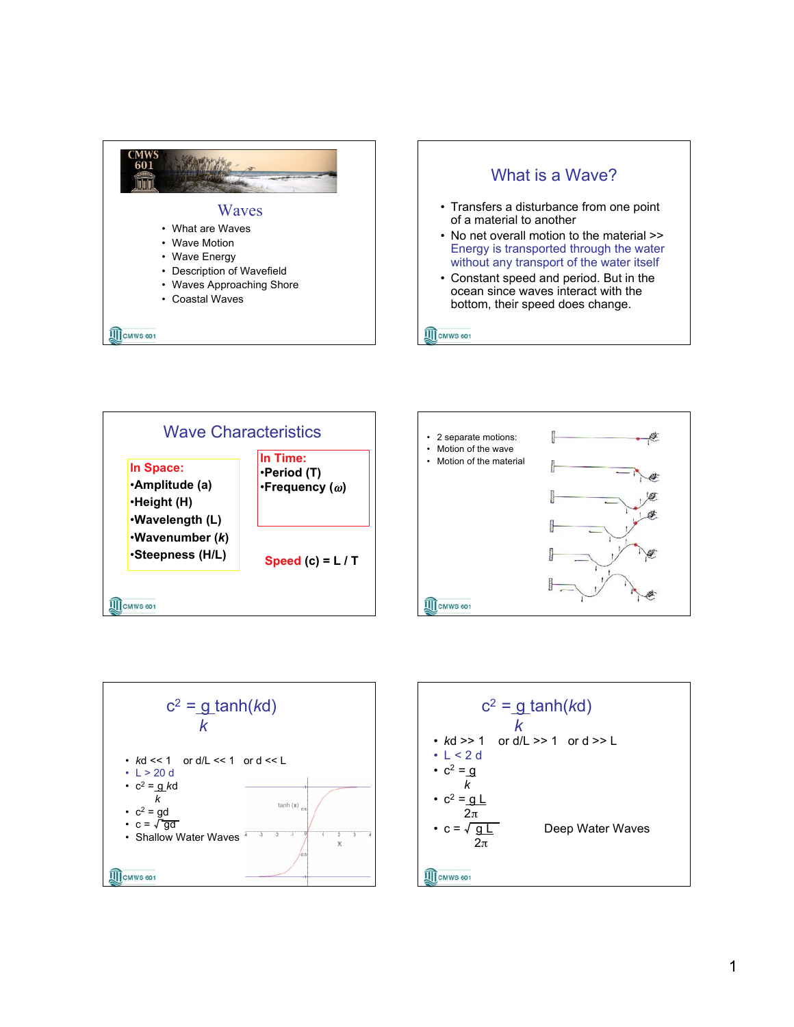









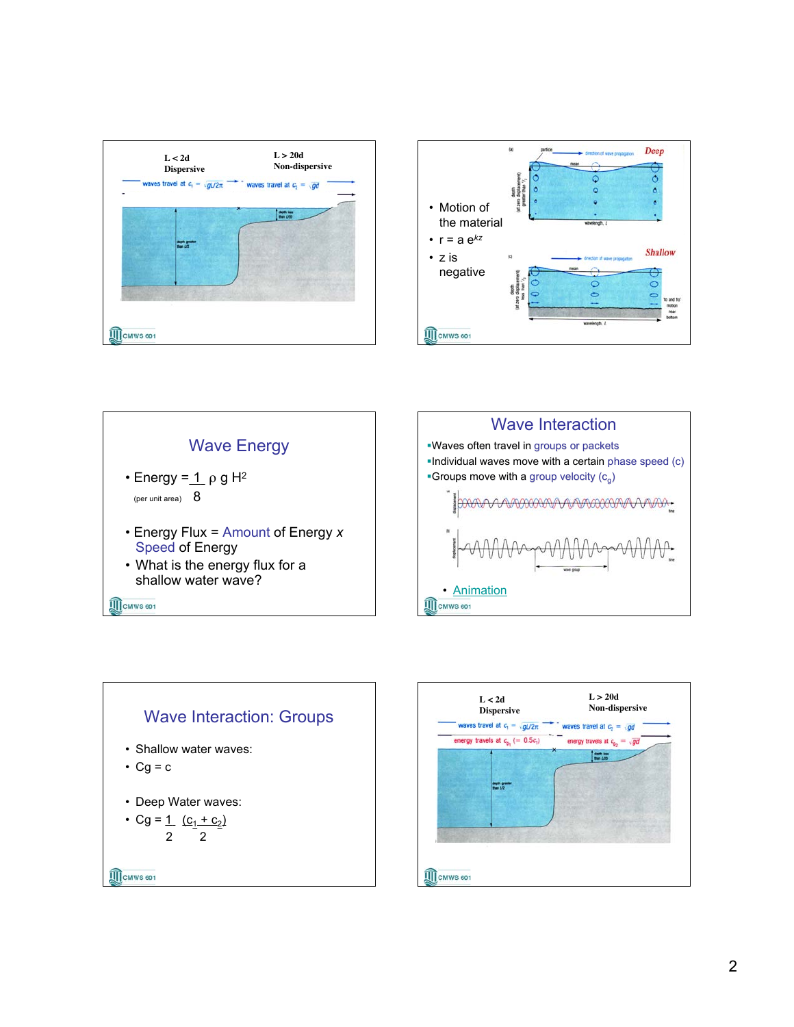







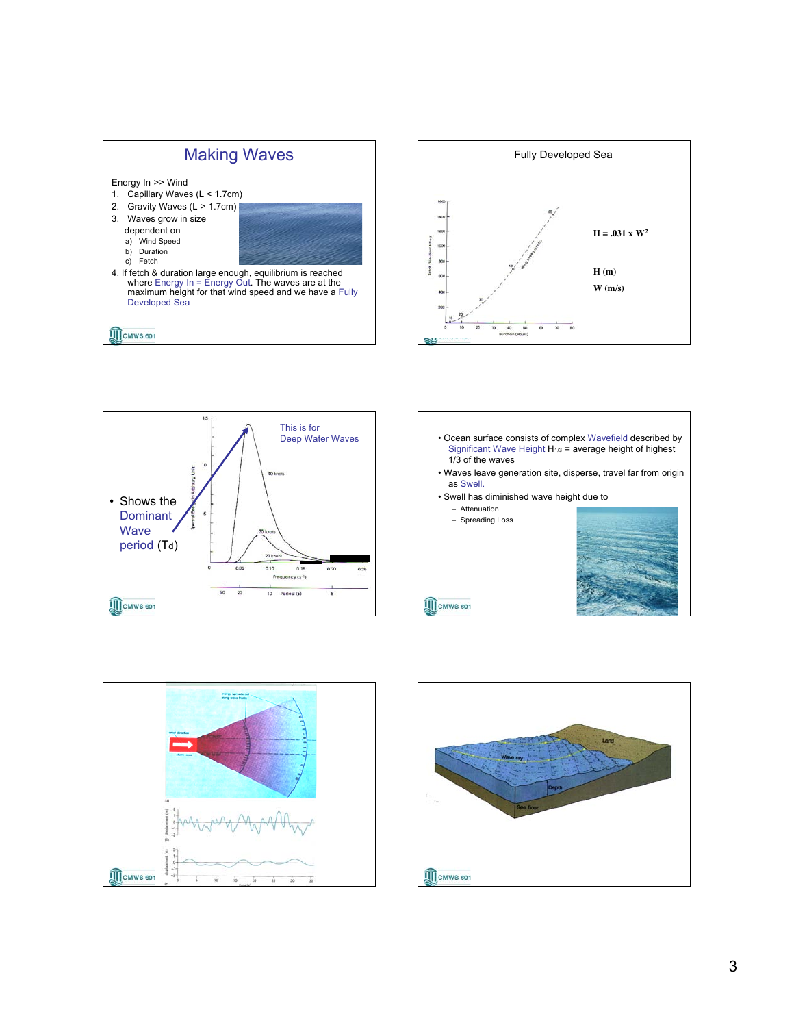









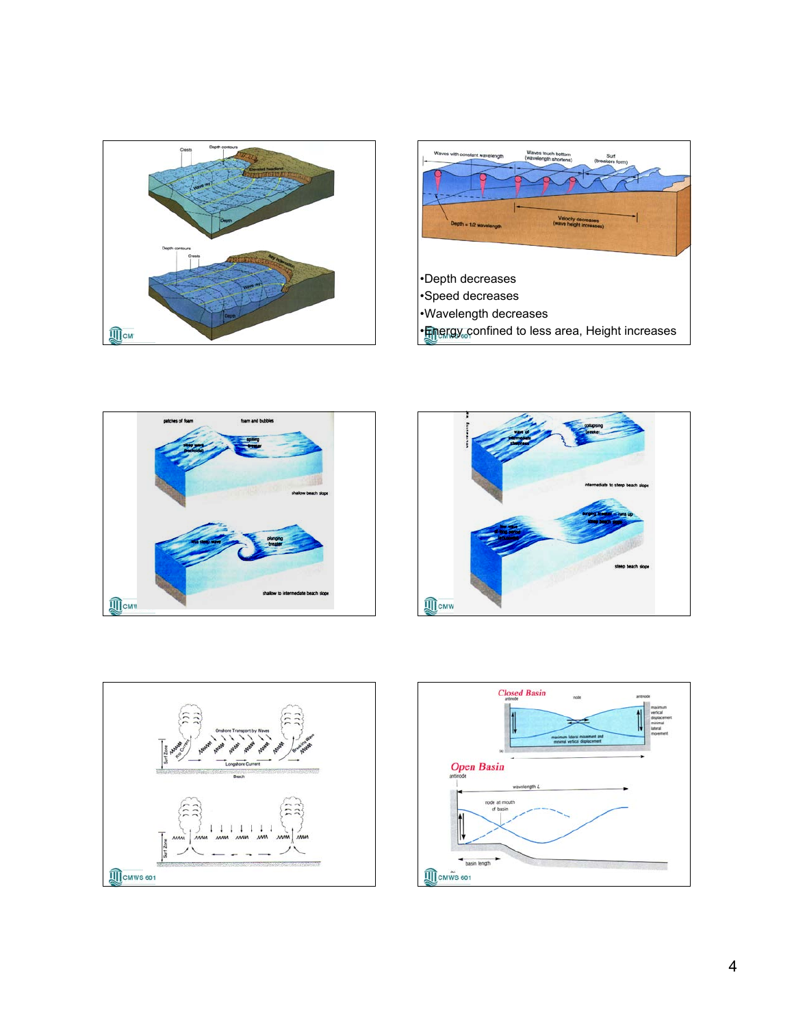